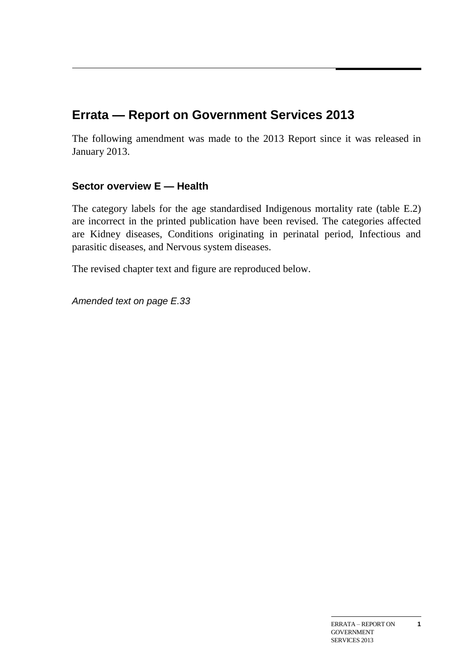## **Errata — Report on Government Services 2013**

The following amendment was made to the 2013 Report since it was released in January 2013.

## **Sector overview E — Health**

The category labels for the age standardised Indigenous mortality rate (table E.2) are incorrect in the printed publication have been revised. The categories affected are Kidney diseases, Conditions originating in perinatal period, Infectious and parasitic diseases, and Nervous system diseases.

The revised chapter text and figure are reproduced below.

*Amended text on page E.33*

**1**